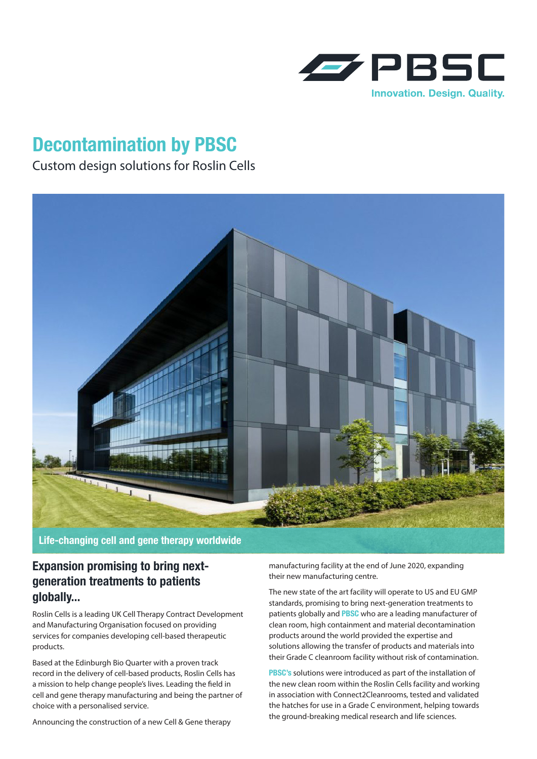

# **Decontamination by PBSC**

## Custom design solutions for Roslin Cells



**Life-changing cell and gene therapy worldwide**

## **Expansion promising to bring nextgeneration treatments to patients globally...**

Roslin Cells is a leading UK Cell Therapy Contract Development and Manufacturing Organisation focused on providing services for companies developing cell-based therapeutic products.

Based at the Edinburgh Bio Quarter with a proven track record in the delivery of cell-based products, Roslin Cells has a mission to help change people's lives. Leading the field in cell and gene therapy manufacturing and being the partner of choice with a personalised service.

Announcing the construction of a new Cell & Gene therapy

manufacturing facility at the end of June 2020, expanding their new manufacturing centre.

The new state of the art facility will operate to US and EU GMP standards, promising to bring next-generation treatments to patients globally and **PBSC** who are a leading manufacturer of clean room, high containment and material decontamination products around the world provided the expertise and solutions allowing the transfer of products and materials into their Grade C cleanroom facility without risk of contamination.

**PBSC's** solutions were introduced as part of the installation of the new clean room within the Roslin Cells facility and working in association with Connect2Cleanrooms, tested and validated the hatches for use in a Grade C environment, helping towards the ground-breaking medical research and life sciences.